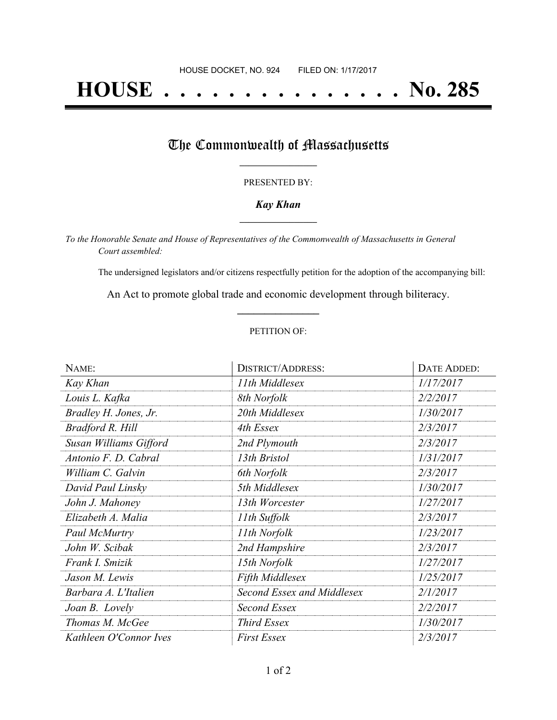# **HOUSE . . . . . . . . . . . . . . . No. 285**

### The Commonwealth of Massachusetts

#### PRESENTED BY:

#### *Kay Khan* **\_\_\_\_\_\_\_\_\_\_\_\_\_\_\_\_\_**

*To the Honorable Senate and House of Representatives of the Commonwealth of Massachusetts in General Court assembled:*

The undersigned legislators and/or citizens respectfully petition for the adoption of the accompanying bill:

An Act to promote global trade and economic development through biliteracy. **\_\_\_\_\_\_\_\_\_\_\_\_\_\_\_**

#### PETITION OF:

| NAME:                  | <b>DISTRICT/ADDRESS:</b>   | DATE ADDED: |
|------------------------|----------------------------|-------------|
| Kay Khan               | 11th Middlesex             | 1/17/2017   |
| Louis L. Kafka         | 8th Norfolk                | 2/2/2017    |
| Bradley H. Jones, Jr.  | 20th Middlesex             | 1/30/2017   |
| Bradford R. Hill       | 4th Essex                  | 2/3/2017    |
| Susan Williams Gifford | 2nd Plymouth               | 2/3/2017    |
| Antonio F. D. Cabral   | 13th Bristol               | 1/31/2017   |
| William C. Galvin      | 6th Norfolk                | 2/3/2017    |
| David Paul Linsky      | 5th Middlesex              | 1/30/2017   |
| John J. Mahoney        | 13th Worcester             | 1/27/2017   |
| Elizabeth A. Malia     | 11th Suffolk               | 2/3/2017    |
| Paul McMurtry          | 11th Norfolk               | 1/23/2017   |
| John W. Scibak         | 2nd Hampshire              | 2/3/2017    |
| Frank I. Smizik        | 15th Norfolk               | 1/27/2017   |
| Jason M. Lewis         | <b>Fifth Middlesex</b>     | 1/25/2017   |
| Barbara A. L'Italien   | Second Essex and Middlesex | 2/1/2017    |
| Joan B. Lovely         | Second Essex               | 2/2/2017    |
| Thomas M. McGee        | Third Essex                | 1/30/2017   |
| Kathleen O'Connor Ives | <b>First Essex</b>         | 2/3/2017    |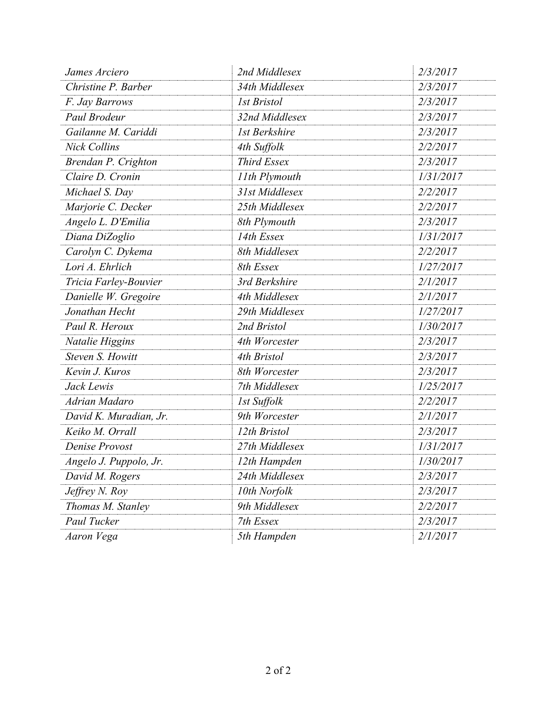| James Arciero          | 2nd Middlesex      | 2/3/2017  |
|------------------------|--------------------|-----------|
| Christine P. Barber    | 34th Middlesex     | 2/3/2017  |
| F. Jay Barrows         | <b>1st Bristol</b> | 2/3/2017  |
| Paul Brodeur           | 32nd Middlesex     | 2/3/2017  |
| Gailanne M. Cariddi    | 1st Berkshire      | 2/3/2017  |
| <b>Nick Collins</b>    | 4th Suffolk        | 2/2/2017  |
| Brendan P. Crighton    | <b>Third Essex</b> | 2/3/2017  |
| Claire D. Cronin       | 11th Plymouth      | 1/31/2017 |
| Michael S. Day         | 31st Middlesex     | 2/2/2017  |
| Marjorie C. Decker     | 25th Middlesex     | 2/2/2017  |
| Angelo L. D'Emilia     | 8th Plymouth       | 2/3/2017  |
| Diana DiZoglio         | 14th Essex         | 1/31/2017 |
| Carolyn C. Dykema      | 8th Middlesex      | 2/2/2017  |
| Lori A. Ehrlich        | 8th Essex          | 1/27/2017 |
| Tricia Farley-Bouvier  | 3rd Berkshire      | 2/1/2017  |
| Danielle W. Gregoire   | 4th Middlesex      | 2/1/2017  |
| Jonathan Hecht         | 29th Middlesex     | 1/27/2017 |
| Paul R. Heroux         | 2nd Bristol        | 1/30/2017 |
| Natalie Higgins        | 4th Worcester      | 2/3/2017  |
| Steven S. Howitt       | 4th Bristol        | 2/3/2017  |
| Kevin J. Kuros         | 8th Worcester      | 2/3/2017  |
| Jack Lewis             | 7th Middlesex      | 1/25/2017 |
| Adrian Madaro          | 1st Suffolk        | 2/2/2017  |
| David K. Muradian, Jr. | 9th Worcester      | 2/1/2017  |
| Keiko M. Orrall        | 12th Bristol       | 2/3/2017  |
| Denise Provost         | 27th Middlesex     | 1/31/2017 |
| Angelo J. Puppolo, Jr. | 12th Hampden       | 1/30/2017 |
| David M. Rogers        | 24th Middlesex     | 2/3/2017  |
| Jeffrey N. Roy         | 10th Norfolk       | 2/3/2017  |
| Thomas M. Stanley      | 9th Middlesex      | 2/2/2017  |
| Paul Tucker            | 7th Essex          | 2/3/2017  |
| Aaron Vega             | 5th Hampden        | 2/1/2017  |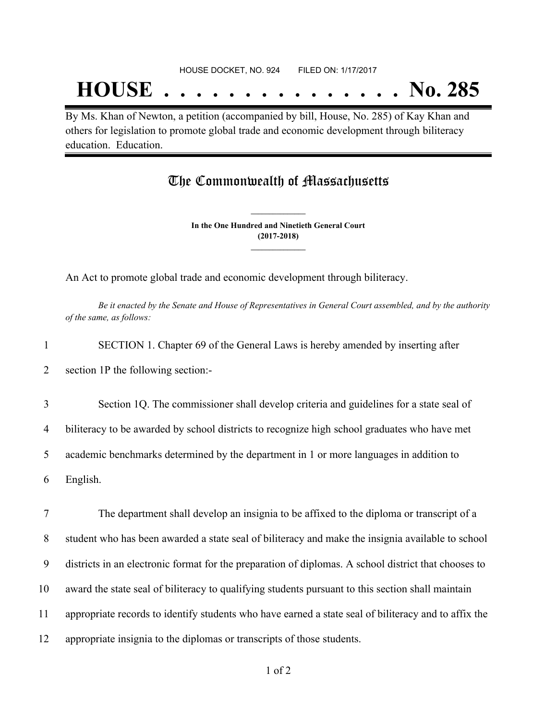## **HOUSE . . . . . . . . . . . . . . . No. 285**

By Ms. Khan of Newton, a petition (accompanied by bill, House, No. 285) of Kay Khan and others for legislation to promote global trade and economic development through biliteracy education. Education.

## The Commonwealth of Massachusetts

**In the One Hundred and Ninetieth General Court (2017-2018) \_\_\_\_\_\_\_\_\_\_\_\_\_\_\_**

**\_\_\_\_\_\_\_\_\_\_\_\_\_\_\_**

An Act to promote global trade and economic development through biliteracy.

Be it enacted by the Senate and House of Representatives in General Court assembled, and by the authority *of the same, as follows:*

1 SECTION 1. Chapter 69 of the General Laws is hereby amended by inserting after

2 section 1P the following section:-

 Section 1Q. The commissioner shall develop criteria and guidelines for a state seal of biliteracy to be awarded by school districts to recognize high school graduates who have met academic benchmarks determined by the department in 1 or more languages in addition to 6 English.

 The department shall develop an insignia to be affixed to the diploma or transcript of a student who has been awarded a state seal of biliteracy and make the insignia available to school districts in an electronic format for the preparation of diplomas. A school district that chooses to award the state seal of biliteracy to qualifying students pursuant to this section shall maintain appropriate records to identify students who have earned a state seal of biliteracy and to affix the appropriate insignia to the diplomas or transcripts of those students.